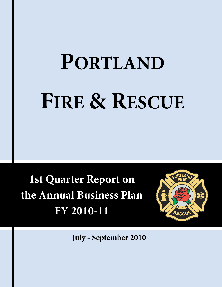# **PORTLAND FIRE & RESCUE**

**1st Quarter Report on the Annual Business Plan FY 2010-11** 



**July - September 2010**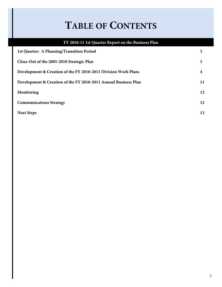### **TABLE OF CONTENTS**

### **FY 2010-11 1st Quarter Report on the Business Plan 1st Quarter: A Planning/Transition Period 3 Close-Out of the 2005-2010 Strategic Plan 3 Development & Creation of the FY 2010-2011 Division Work Plans 4 Development & Creation of the FY 2010-2011 Annual Business Plan 11 Monitoring 12 Communications Strategy 12 Next Steps 13**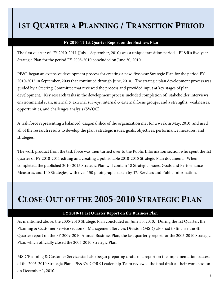### **1ST QUARTER A PLANNING / TRANSITION PERIOD**

#### **FY 2010-11 1st Quarter Report on the Business Plan**

The first quarter of FY 2010-2011 (July – September, 2010) was a unique transition period. PF&R's five-year Strategic Plan for the period FY 2005-2010 concluded on June 30, 2010.

PF&R began an extensive development process for creating a new, five-year Strategic Plan for the period FY 2010-2015 in September, 2009 that continued through June, 2010. The strategic plan development process was guided by a Steering Committee that reviewed the process and provided input at key stages of plan development. Key research tasks in the development process included completion of: stakeholder interviews, environmental scan, internal & external surveys, internal & external focus groups, and a strengths, weaknesses, opportunities, and challenges analysis (SWOC).

A task force representing a balanced, diagonal slice of the organization met for a week in May, 2010, and used all of the research results to develop the plan's strategic issues, goals, objectives, performance measures, and strategies.

The work product from the task force was then turned over to the Public Information section who spent the 1st quarter of FY 2010-2011 editing and creating a publishable 2010-2015 Strategic Plan document. When completed, the published 2010-2015 Strategic Plan will contain 18 Strategic Issues, Goals and Performance Measures, and 140 Strategies, with over 150 photographs taken by TV Services and Public Information.

### **CLOSE-OUT OF THE 2005-2010 STRATEGIC PLAN**

#### **FY 2010-11 1st Quarter Report on the Business Plan**

As mentioned above, the 2005-2010 Strategic Plan concluded on June 30, 2010. During the 1st Quarter, the Planning & Customer Service section of Management Services Division (MSD) also had to finalize the 4th Quarter report on the FY 2009-2010 Annual Business Plan, the last quarterly report for the 2005-2010 Strategic Plan, which officially closed the 2005-2010 Strategic Plan.

MSD/Planning & Customer Service staff also began preparing drafts of a report on the implementation success of the 2005-2010 Strategic Plan. PF&R's CORE Leadership Team reviewed the final draft at their work session on December 1, 2010.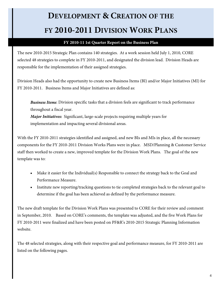#### **FY 2010-11 1st Quarter Report on the Business Plan**

The new 2010-2015 Strategic Plan contains 140 strategies. At a work session held July 1, 2010, CORE selected 48 strategies to complete in FY 2010-2011, and designated the division lead. Division Heads are responsible for the implementation of their assigned strategies.

Division Heads also had the opportunity to create new Business Items (BI) and/or Major Initiatives (MI) for FY 2010-2011. Business Items and Major Initiatives are defined as:

*Business Items*: Division specific tasks that a division feels are significant to track performance throughout a fiscal year. *Major Initiatives:* Significant, large-scale projects requiring multiple years for implementation and impacting several divisional areas.

With the FY 2010-2011 strategies identified and assigned, and new BIs and MIs in place, all the necessary components for the FY 2010-2011 Division Works Plans were in place. MSD/Planning & Customer Service staff then worked to create a new, improved template for the Division Work Plans. The goal of the new template was to:

- Make it easier for the Individual(s) Responsible to connect the strategy back to the Goal and Performance Measure.
- Institute new reporting/tracking questions to tie completed strategies back to the relevant goal to determine if the goal has been achieved as defined by the performance measure.

The new draft template for the Division Work Plans was presented to CORE for their review and comment in September, 2010. Based on CORE's comments, the template was adjusted, and the five Work Plans for FY 2010-2011 were finalized and have been posted on PF&R's 2010-2015 Strategic Planning Information website.

The 48 selected strategies, along with their respective goal and performance measure, for FY 2010-2011 are listed on the following pages.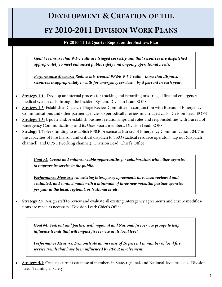**FY 2010-11 1st Quarter Report on the Business Plan** 

*Goal #1: Ensure that 9-1-1 calls are triaged correctly and that resources are dispatched appropriately to meet enhanced public safety and ongoing operational needs.* 

*Performance Measure: Reduce mis-treated PF&R 9-1-1 calls – those that dispatch resources inappropriately to calls for emergency services – by 5 percent in each year.* 

- **Strategy 1.1:** Develop an internal process for tracking and reporting mis-triaged fire and emergency medical system calls through the Incident System. Division Lead: EOPS
- **Strategy 1.3:** Establish a Dispatch Triage Review Committee in conjunction with Bureau of Emergency Communications and other partner agencies to periodically review mis-triaged calls. Division Lead: EOPS
- **Strategy 1.5:** Update and/or establish business relationships and roles and responsibilities with Bureau of Emergency Communications and its User Board members. Division Lead: EOPS
- **Strategy 1.7:** Seek funding to establish PF&R presence at Bureau of Emergency Communications 24/7 in the capacities of Fire Liaison and critical dispatch to TRO (tactical resource operator), tap out (dispatch channel), and OPS 1 (working channel). Division Lead: Chief's Office

*Goal #2: Create and enhance viable opportunities for collaboration with other agencies to improve its service to the public.* 

*Performance Measure: All existing interagency agreements have been reviewed and evaluated, and contact made with a minimum of three new potential partner agencies per year at the local, regional, or National levels.* 

 **Strategy 2.7:** Assign staff to review and evaluate all existing interagency agreements and ensure modifications are made as necessary. Division Lead: Chief's Office

*Goal #4: Seek out and partner with regional and National fire service groups to help influence trends that will impact fire service at its local level.* 

*Performance Measure: Demonstrate an increase of 10 percent in number of local fire service trends that have been influenced by PF&R involvement.* 

 **Strategy 4.1:** Create a current database of members in State, regional, and National-level projects. Division Lead: Training & Safety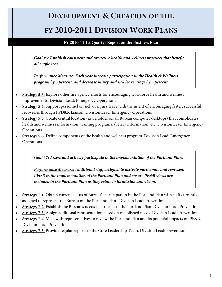# **DEVELOPMENT & CREATION OF THE**

#### **FY 2010-2011 DIVISION WORK PLANS**

#### **FY 2010-11 1st Quarter Report on the Business Plan**

*Goal #5: Establish consistent and proactive health and wellness practices that benefit all employees.* 

*Performance Measure: Each year increase participation in the Health & Wellness program by 5 percent, and decrease injury and sick leave usage by 5 percent.* 

- **Strategy 5.3:** Explore other fire agency efforts for encouraging workforce health and wellness improvements. Division Lead: Emergency Operations
- **Strategy 5.4:** Support personnel on sick or injury leave with the intent of encouraging faster, successful recoveries through FPD&R Liaison. Division Lead: Emergency Operations
- **Strategy 5.5:** Create central location (i.e., a folder on all Bureau computer desktops) that consolidates health and wellness information, training programs, dietary information, etc. Division Lead: Emergency Operations
- **Strategy 5.6:** Define components of the health and wellness program. Division Lead: Emergency Operations

*Goal #7: Assess and actively participate in the implementation of the Portland Plan.* 

*Performance Measure: Additional staff assigned to actively participate and represent PF&R in the implementation of the Portland Plan and ensure PF&R views are included in the Portland Plan as they relate to its mission and vision.* 

- **Strategy 7.1:** Obtain current status of Bureau's participation in the Portland Plan with staff currently assigned to represent the Bureau on the Portland Plan. Division Lead: Prevention
- **Strategy 7.2:** Establish the Bureau's needs as it relates to the Portland Plan. Division Lead: Prevention
- **Strategy 7.3:** Assign additional representation based on established needs. Division Lead: Prevention
- **Strategy 7.4:** Meet with representatives to review the Portland Plan and its potential impacts on PF&R. Division Lead: Prevention
- **Strategy 7.5:** Provide regular reports to the Core Leadership Team. Division Lead: Prevention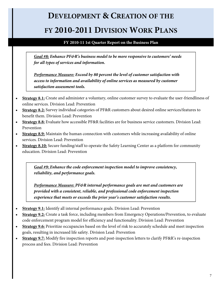#### **FY 2010-11 1st Quarter Report on the Business Plan**

*Goal #8: Enhance PF&R's business model to be more responsive to customers' needs for all types of services and information.* 

*Performance Measure: Exceed by 80 percent the level of customer satisfaction with access to information and availability of online services as measured by customer satisfaction assessment tools.* 

- **Strategy 8.1:** Create and administer a voluntary, online customer survey to evaluate the user-friendliness of online services. Division Lead: Prevention
- **Strategy 8.2:** Survey individual categories of PF&R customers about desired online services/features to benefit them. Division Lead: Prevention
- **Strategy 8.8:** Evaluate how accessible PF&R facilities are for business service customers. Division Lead: Prevention
- **Strategy 8.9:** Maintain the human connection with customers while increasing availability of online services. Division Lead: Prevention
- **Strategy 8.10:** Secure funding/staff to operate the Safety Learning Center as a platform for community education. Division Lead: Prevention

*Goal #9: Enhance the code enforcement inspection model to improve consistency, reliability, and performance goals.* 

*Performance Measure: PF&R internal performance goals are met and customers are provided with a consistent, reliable, and professional code enforcement inspection experience that meets or exceeds the prior year's customer satisfaction results.* 

- **Strategy 9.1:** Identify all internal performance goals. Division Lead: Prevention
- **Strategy 9.2:** Create a task force, including members from Emergency Operations/Prevention, to evaluate code enforcement program model for efficiency and functionality. Division Lead: Prevention
- **Strategy 9.6:** Prioritize occupancies based on the level of risk to accurately schedule and meet inspection goals, resulting in increased life safety. Division Lead: Prevention
- **Strategy 9.7:** Modify fire inspection reports and post-inspection letters to clarify PF&R's re-inspection process and fees. Division Lead: Prevention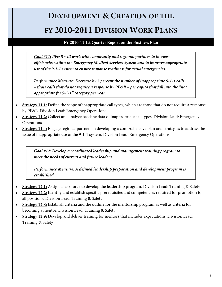#### **FY 2010-11 1st Quarter Report on the Business Plan**

*Goal #11: PF&R will work with community and regional partners to increase efficiencies within the Emergency Medical Services System and to improve appropriate use of the 9-1-1 system to ensure response readiness for actual emergencies.* 

*Performance Measure: Decrease by 5 percent the number of inappropriate 9-1-1 calls – those calls that do not require a response by PF&R – per capita that fall into the "not appropriate for 9-1-1" category per year.* 

- **Strategy 11.1:** Define the scope of inappropriate call types, which are those that do not require a response by PF&R. Division Lead: Emergency Operations
- **Strategy 11.2:** Collect and analyze baseline data of inappropriate call types. Division Lead: Emergency Operations
- **Strategy 11.4:** Engage regional partners in developing a comprehensive plan and strategies to address the issue of inappropriate use of the 9-1-1 system. Division Lead: Emergency Operations

*Goal #12: Develop a coordinated leadership and management training program to meet the needs of current and future leaders.* 

*Performance Measure: A defined leadership preparation and development program is established.* 

- **Strategy 12.1:** Assign a task force to develop the leadership program. Division Lead: Training & Safety
- **Strategy 12.2:** Identify and establish specific prerequisites and competencies required for promotion to all positions. Division Lead: Training & Safety
- **Strategy 12.8:** Establish criteria and the outline for the mentorship program as well as criteria for becoming a mentor. Division Lead: Training & Safety
- **Strategy 12.9:** Develop and deliver training for mentors that includes expectations. Division Lead: Training & Safety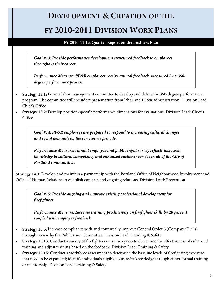#### **DEVELOPMENT & CREATION OF THE**

#### **FY 2010-2011 DIVISION WORK PLANS**

#### **FY 2010-11 1st Quarter Report on the Business Plan**

*Goal #13: Provide performance development structured feedback to employees throughout their career.* 

*Performance Measure: PF&R employees receive annual feedback, measured by a 360 degree performance process.* 

- **Strategy 13.1:** Form a labor management committee to develop and define the 360-degree performance program. The committee will include representation from labor and PF&R administration. Division Lead: Chief's Office
- **Strategy 13.2:** Develop position-specific performance dimensions for evaluations. Division Lead: Chief's **Office**

*Goal #14: PF&R employees are prepared to respond to increasing cultural changes and social demands on the services we provide.* 

*Performance Measure: Annual employee and public input survey reflects increased knowledge in cultural competency and enhanced customer service in all of the City of Portland communities.* 

**Strategy 14.3**: Develop and maintain a partnership with the Portland Office of Neighborhood Involvement and Office of Human Relations to establish contacts and ongoing relations. Division Lead: Prevention

*Goal #15: Provide ongoing and improve existing professional development for firefighters.* 

*Performance Measure: Increase training productivity on firefighter skills by 20 percent coupled with employee feedback.* 

- **Strategy 15.3:** Increase compliance with and continually improve General Order 5 (Company Drills) through review by the Publication Committee. Division Lead: Training & Safety
- **Strategy 15.13:** Conduct a survey of firefighters every two years to determine the effectiveness of enhanced training and adjust training based on the feedback. Division Lead: Training & Safety
- **Strategy 15.15:** Conduct a workforce assessment to determine the baseline levels of firefighting expertise that need to be expanded; identify individuals eligible to transfer knowledge through either formal training or mentorship. Division Lead: Training & Safety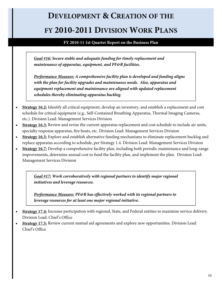## **DEVELOPMENT & CREATION OF THE**

#### **FY 2010-2011 DIVISION WORK PLANS**

**FY 2010-11 1st Quarter Report on the Business Plan** 

*Goal #16: Secure stable and adequate funding for timely replacement and maintenance of apparatus, equipment, and PF&R facilities.* 

*Performance Measure: A comprehensive facility plan is developed and funding aligns with the plan for facility upgrades and maintenance needs. Also, apparatus and equipment replacement and maintenance are aligned with updated replacement schedules thereby eliminating apparatus backlog.* 

- **Strategy 16.2:** Identify all critical equipment, develop an inventory, and establish a replacement and cost schedule for critical equipment (e.g., Self-Contained Breathing Apparatus, Thermal Imaging Cameras, etc.). Division Lead: Management Services Division
- **Strategy 16.3:** Review and revise the current apparatus replacement and cost schedule to include air units, specialty response apparatus, fire boats, etc. Division Lead: Management Services Division
- **Strategy 16.5:** Explore and establish alternative funding mechanisms to eliminate replacement backlog and replace apparatus according to schedule, per Strategy 1.4. Division Lead: Management Services Division
- **Strategy 16.7:** Develop a comprehensive facility plan, including both periodic maintenance and long-range improvements, determine annual cost to fund the facility plan, and implement the plan. Division Lead: Management Services Division

*Goal #17: Work corroboratively with regional partners to identify major regional initiatives and leverage resources.* 

*Performance Measure: PF&R has effectively worked with its regional partners to leverage resources for at least one major regional initiative.* 

- **Strategy 17.4:** Increase participation with regional, State, and Federal entities to maximize service delivery. Division Lead: Chief's Office
- **Strategy 17.5:** Review current mutual aid agreements and explore new opportunities. Division Lead: Chief's Office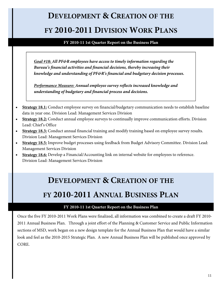**FY 2010-11 1st Quarter Report on the Business Plan** 

*Goal #18: All PF&R employees have access to timely information regarding the Bureau's financial activities and financial decisions, thereby increasing their knowledge and understanding of PF&R's financial and budgetary decision processes.* 

*Performance Measure: Annual employee survey reflects increased knowledge and understanding of budgetary and financial process and decisions.* 

- **Strategy 18.1:** Conduct employee survey on financial/budgetary communication needs to establish baseline data in year one. Division Lead: Management Services Division
- **Strategy 18.2:** Conduct annual employee surveys to continually improve communication efforts. Division Lead: Chief's Office
- **Strategy 18.3:** Conduct annual financial training and modify training based on employee survey results. Division Lead: Management Services Division
- **Strategy 18.5:** Improve budget processes using feedback from Budget Advisory Committee. Division Lead: Management Services Division
- **Strategy 18.6:** Develop a Financial/Accounting link on internal website for employees to reference. Division Lead: Management Services Division

### **DEVELOPMENT & CREATION OF THE FY 2010-2011 ANNUAL BUSINESS PLAN**

#### **FY 2010-11 1st Quarter Report on the Business Plan**

Once the five FY 2010-2011 Work Plans were finalized, all information was combined to create a draft FY 2010- 2011 Annual Business Plan. Through a joint effort of the Planning & Customer Service and Public Information sections of MSD, work began on a new design template for the Annual Business Plan that would have a similar look and feel as the 2010-2015 Strategic Plan. A new Annual Business Plan will be published once approved by CORE.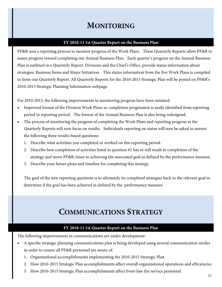#### **MONITORING**

#### **FY 2010-11 1st Quarter Report on the Business Plan**

PF&R uses a reporting process to monitor progress of the Work Plans. These Quarterly Reports allow PF&R to assess progress toward completing our Annual Business Plan. Each quarter's progress on the Annual Business Plan is outlined in a Quarterly Report. Divisions and the Chief's Office, provide status information about strategies, Business Items and Major Initiatives. This status information from the five Work Plans is compiled to form one Quarterly Report. All Quarterly Reports for the 2010-2015 Strategic Plan will be posted on PF&R's 2010-2015 Strategic Planning Information webpage.

For 2010-2015, the following improvements in monitoring progress have been initiated:

- Improved format of the Division Work Plans so completion progression is easily identified from reporting period to reporting period. The format of the Annual Business Plan is also being redesigned.
- The process of monitoring the progress of completing the Work Plans and reporting progress in the Quarterly Reports will now focus on results. Individuals reporting on status will now be asked to answer the following three results-based questions:
	- 1. Describe what activities you completed or worked on this reporting period.
	- 2. Describe how completion of activities listed in question #1 has or will result in completion of the strategy and move PF&R closer to achieving the associated goal as defined by the performance measure.
	- 3. Describe your future plans and timeline for completing this strategy.

The goal of the new reporting questions is to ultimately tie completed strategies back to the relevant goal to determine if the goal has been achieved as defined by the performance measure.

#### **COMMUNICATIONS STRATEGY**

#### **FY 2010-11 1st Quarter Report on the Business Plan**

The following improvements in communications are under development:

- A specific strategic planning communications plan is being developed using several communication modes in order to ensure all PF&R personnel are aware of:
	- 1. Organizational accomplishments implementing the 2010-2015 Strategic Plan
	- 2. How 2010-2015 Strategic Plan accomplishments affect overall organizational operations and efficiencies
	- 3. How 2010-2015 Strategic Plan accomplishments affect front-line fire service personnel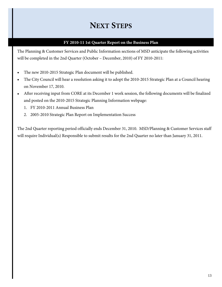### **NEXT STEPS**

#### **FY 2010-11 1st Quarter Report on the Business Plan**

The Planning & Customer Services and Public Information sections of MSD anticipate the following activities will be completed in the 2nd Quarter (October – December, 2010) of FY 2010-2011:

- The new 2010-2015 Strategic Plan document will be published.
- The City Council will hear a resolution asking it to adopt the 2010-2015 Strategic Plan at a Council hearing on November 17, 2010.
- After receiving input from CORE at its December 1 work session, the following documents will be finalized and posted on the 2010-2015 Strategic Planning Information webpage:
	- 1. FY 2010-2011 Annual Business Plan
	- 2. 2005-2010 Strategic Plan Report on Implementation Success

The 2nd Quarter reporting period officially ends December 31, 2010. MSD/Planning & Customer Services staff will require Individual(s) Responsible to submit results for the 2nd Quarter no later than January 31, 2011.